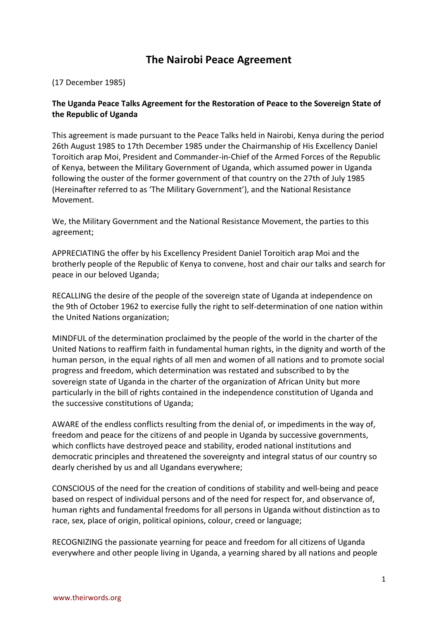# **The Nairobi Peace Agreement**

(17 December 1985)

# **The Uganda Peace Talks Agreement for the Restoration of Peace to the Sovereign State of the Republic of Uganda**

This agreement is made pursuant to the Peace Talks held in Nairobi, Kenya during the period 26th August 1985 to 17th December 1985 under the Chairmanship of His Excellency Daniel Toroitich arap Moi, President and Commander-in-Chief of the Armed Forces of the Republic of Kenya, between the Military Government of Uganda, which assumed power in Uganda following the ouster of the former government of that country on the 27th of July 1985 (Hereinafter referred to as 'The Military Government'), and the National Resistance Movement.

We, the Military Government and the National Resistance Movement, the parties to this agreement;

APPRECIATING the offer by his Excellency President Daniel Toroitich arap Moi and the brotherly people of the Republic of Kenya to convene, host and chair our talks and search for peace in our beloved Uganda;

RECALLING the desire of the people of the sovereign state of Uganda at independence on the 9th of October 1962 to exercise fully the right to self-determination of one nation within the United Nations organization;

MINDFUL of the determination proclaimed by the people of the world in the charter of the United Nations to reaffirm faith in fundamental human rights, in the dignity and worth of the human person, in the equal rights of all men and women of all nations and to promote social progress and freedom, which determination was restated and subscribed to by the sovereign state of Uganda in the charter of the organization of African Unity but more particularly in the bill of rights contained in the independence constitution of Uganda and the successive constitutions of Uganda;

AWARE of the endless conflicts resulting from the denial of, or impediments in the way of, freedom and peace for the citizens of and people in Uganda by successive governments, which conflicts have destroyed peace and stability, eroded national institutions and democratic principles and threatened the sovereignty and integral status of our country so dearly cherished by us and all Ugandans everywhere;

CONSCIOUS of the need for the creation of conditions of stability and well-being and peace based on respect of individual persons and of the need for respect for, and observance of, human rights and fundamental freedoms for all persons in Uganda without distinction as to race, sex, place of origin, political opinions, colour, creed or language;

RECOGNIZING the passionate yearning for peace and freedom for all citizens of Uganda everywhere and other people living in Uganda, a yearning shared by all nations and people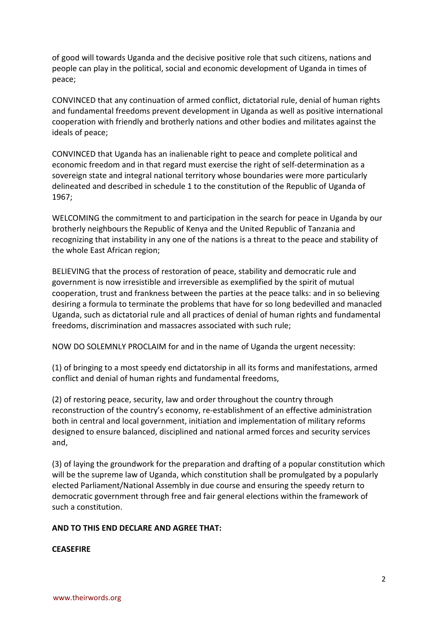of good will towards Uganda and the decisive positive role that such citizens, nations and people can play in the political, social and economic development of Uganda in times of peace;

CONVINCED that any continuation of armed conflict, dictatorial rule, denial of human rights and fundamental freedoms prevent development in Uganda as well as positive international cooperation with friendly and brotherly nations and other bodies and militates against the ideals of peace;

CONVINCED that Uganda has an inalienable right to peace and complete political and economic freedom and in that regard must exercise the right of self-determination as a sovereign state and integral national territory whose boundaries were more particularly delineated and described in schedule 1 to the constitution of the Republic of Uganda of 1967;

WELCOMING the commitment to and participation in the search for peace in Uganda by our brotherly neighbours the Republic of Kenya and the United Republic of Tanzania and recognizing that instability in any one of the nations is a threat to the peace and stability of the whole East African region;

BELIEVING that the process of restoration of peace, stability and democratic rule and government is now irresistible and irreversible as exemplified by the spirit of mutual cooperation, trust and frankness between the parties at the peace talks: and in so believing desiring a formula to terminate the problems that have for so long bedevilled and manacled Uganda, such as dictatorial rule and all practices of denial of human rights and fundamental freedoms, discrimination and massacres associated with such rule;

NOW DO SOLEMNLY PROCLAIM for and in the name of Uganda the urgent necessity:

(1) of bringing to a most speedy end dictatorship in all its forms and manifestations, armed conflict and denial of human rights and fundamental freedoms,

(2) of restoring peace, security, law and order throughout the country through reconstruction of the country's economy, re-establishment of an effective administration both in central and local government, initiation and implementation of military reforms designed to ensure balanced, disciplined and national armed forces and security services and,

(3) of laying the groundwork for the preparation and drafting of a popular constitution which will be the supreme law of Uganda, which constitution shall be promulgated by a popularly elected Parliament/National Assembly in due course and ensuring the speedy return to democratic government through free and fair general elections within the framework of such a constitution.

## **AND TO THIS END DECLARE AND AGREE THAT:**

## **CEASEFIRE**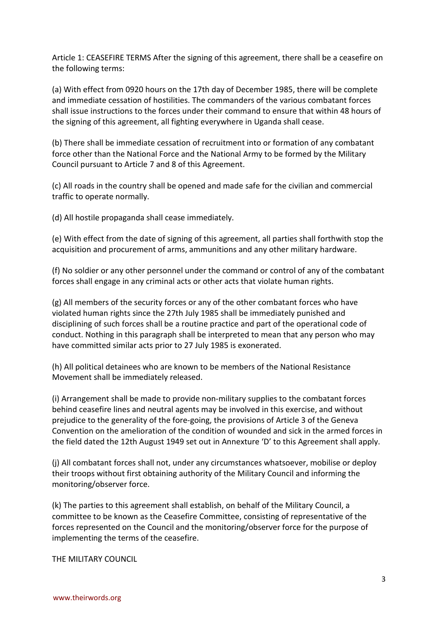Article 1: CEASEFIRE TERMS After the signing of this agreement, there shall be a ceasefire on the following terms:

(a) With effect from 0920 hours on the 17th day of December 1985, there will be complete and immediate cessation of hostilities. The commanders of the various combatant forces shall issue instructions to the forces under their command to ensure that within 48 hours of the signing of this agreement, all fighting everywhere in Uganda shall cease.

(b) There shall be immediate cessation of recruitment into or formation of any combatant force other than the National Force and the National Army to be formed by the Military Council pursuant to Article 7 and 8 of this Agreement.

(c) All roads in the country shall be opened and made safe for the civilian and commercial traffic to operate normally.

(d) All hostile propaganda shall cease immediately.

(e) With effect from the date of signing of this agreement, all parties shall forthwith stop the acquisition and procurement of arms, ammunitions and any other military hardware.

(f) No soldier or any other personnel under the command or control of any of the combatant forces shall engage in any criminal acts or other acts that violate human rights.

(g) All members of the security forces or any of the other combatant forces who have violated human rights since the 27th July 1985 shall be immediately punished and disciplining of such forces shall be a routine practice and part of the operational code of conduct. Nothing in this paragraph shall be interpreted to mean that any person who may have committed similar acts prior to 27 July 1985 is exonerated.

(h) All political detainees who are known to be members of the National Resistance Movement shall be immediately released.

(i) Arrangement shall be made to provide non-military supplies to the combatant forces behind ceasefire lines and neutral agents may be involved in this exercise, and without prejudice to the generality of the fore-going, the provisions of Article 3 of the Geneva Convention on the amelioration of the condition of wounded and sick in the armed forces in the field dated the 12th August 1949 set out in Annexture 'D' to this Agreement shall apply.

(j) All combatant forces shall not, under any circumstances whatsoever, mobilise or deploy their troops without first obtaining authority of the Military Council and informing the monitoring/observer force.

(k) The parties to this agreement shall establish, on behalf of the Military Council, a committee to be known as the Ceasefire Committee, consisting of representative of the forces represented on the Council and the monitoring/observer force for the purpose of implementing the terms of the ceasefire.

THE MILITARY COUNCIL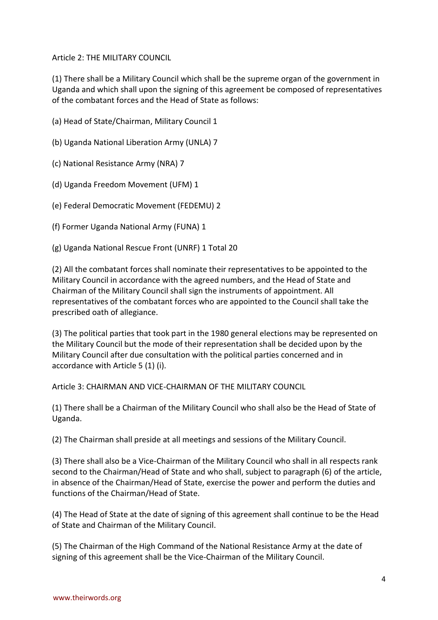Article 2: THE MILITARY COUNCIL

(1) There shall be a Military Council which shall be the supreme organ of the government in Uganda and which shall upon the signing of this agreement be composed of representatives of the combatant forces and the Head of State as follows:

- (a) Head of State/Chairman, Military Council 1
- (b) Uganda National Liberation Army (UNLA) 7
- (c) National Resistance Army (NRA) 7
- (d) Uganda Freedom Movement (UFM) 1
- (e) Federal Democratic Movement (FEDEMU) 2
- (f) Former Uganda National Army (FUNA) 1
- (g) Uganda National Rescue Front (UNRF) 1 Total 20

(2) All the combatant forces shall nominate their representatives to be appointed to the Military Council in accordance with the agreed numbers, and the Head of State and Chairman of the Military Council shall sign the instruments of appointment. All representatives of the combatant forces who are appointed to the Council shall take the prescribed oath of allegiance.

(3) The political parties that took part in the 1980 general elections may be represented on the Military Council but the mode of their representation shall be decided upon by the Military Council after due consultation with the political parties concerned and in accordance with Article 5 (1) (i).

Article 3: CHAIRMAN AND VICE-CHAIRMAN OF THE MILITARY COUNCIL

(1) There shall be a Chairman of the Military Council who shall also be the Head of State of Uganda.

(2) The Chairman shall preside at all meetings and sessions of the Military Council.

(3) There shall also be a Vice-Chairman of the Military Council who shall in all respects rank second to the Chairman/Head of State and who shall, subject to paragraph (6) of the article, in absence of the Chairman/Head of State, exercise the power and perform the duties and functions of the Chairman/Head of State.

(4) The Head of State at the date of signing of this agreement shall continue to be the Head of State and Chairman of the Military Council.

(5) The Chairman of the High Command of the National Resistance Army at the date of signing of this agreement shall be the Vice-Chairman of the Military Council.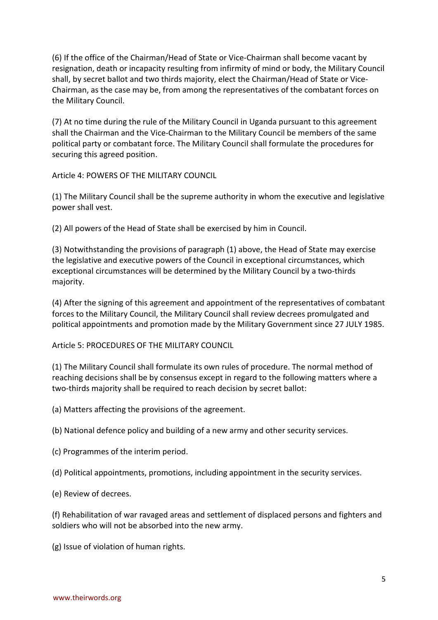(6) If the office of the Chairman/Head of State or Vice-Chairman shall become vacant by resignation, death or incapacity resulting from infirmity of mind or body, the Military Council shall, by secret ballot and two thirds majority, elect the Chairman/Head of State or Vice-Chairman, as the case may be, from among the representatives of the combatant forces on the Military Council.

(7) At no time during the rule of the Military Council in Uganda pursuant to this agreement shall the Chairman and the Vice-Chairman to the Military Council be members of the same political party or combatant force. The Military Council shall formulate the procedures for securing this agreed position.

Article 4: POWERS OF THE MILITARY COUNCIL

(1) The Military Council shall be the supreme authority in whom the executive and legislative power shall vest.

(2) All powers of the Head of State shall be exercised by him in Council.

(3) Notwithstanding the provisions of paragraph (1) above, the Head of State may exercise the legislative and executive powers of the Council in exceptional circumstances, which exceptional circumstances will be determined by the Military Council by a two-thirds majority.

(4) After the signing of this agreement and appointment of the representatives of combatant forces to the Military Council, the Military Council shall review decrees promulgated and political appointments and promotion made by the Military Government since 27 JULY 1985.

Article 5: PROCEDURES OF THE MILITARY COUNCIL

(1) The Military Council shall formulate its own rules of procedure. The normal method of reaching decisions shall be by consensus except in regard to the following matters where a two-thirds majority shall be required to reach decision by secret ballot:

(a) Matters affecting the provisions of the agreement.

(b) National defence policy and building of a new army and other security services.

(c) Programmes of the interim period.

(d) Political appointments, promotions, including appointment in the security services.

(e) Review of decrees.

(f) Rehabilitation of war ravaged areas and settlement of displaced persons and fighters and soldiers who will not be absorbed into the new army.

(g) Issue of violation of human rights.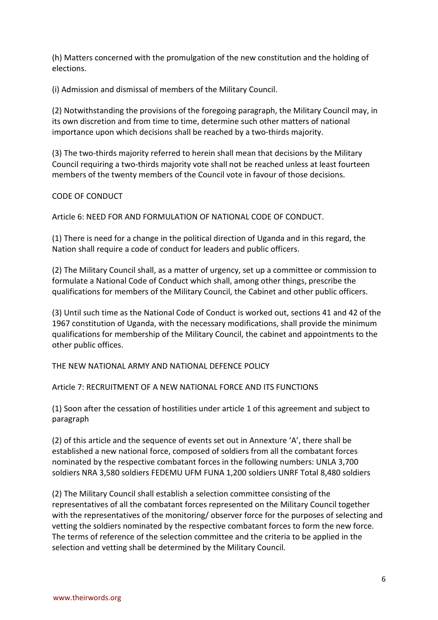(h) Matters concerned with the promulgation of the new constitution and the holding of elections.

(i) Admission and dismissal of members of the Military Council.

(2) Notwithstanding the provisions of the foregoing paragraph, the Military Council may, in its own discretion and from time to time, determine such other matters of national importance upon which decisions shall be reached by a two-thirds majority.

(3) The two-thirds majority referred to herein shall mean that decisions by the Military Council requiring a two-thirds majority vote shall not be reached unless at least fourteen members of the twenty members of the Council vote in favour of those decisions.

CODE OF CONDUCT

Article 6: NEED FOR AND FORMULATION OF NATIONAL CODE OF CONDUCT.

(1) There is need for a change in the political direction of Uganda and in this regard, the Nation shall require a code of conduct for leaders and public officers.

(2) The Military Council shall, as a matter of urgency, set up a committee or commission to formulate a National Code of Conduct which shall, among other things, prescribe the qualifications for members of the Military Council, the Cabinet and other public officers.

(3) Until such time as the National Code of Conduct is worked out, sections 41 and 42 of the 1967 constitution of Uganda, with the necessary modifications, shall provide the minimum qualifications for membership of the Military Council, the cabinet and appointments to the other public offices.

THE NEW NATIONAL ARMY AND NATIONAL DEFENCE POLICY

Article 7: RECRUITMENT OF A NEW NATIONAL FORCE AND ITS FUNCTIONS

(1) Soon after the cessation of hostilities under article 1 of this agreement and subject to paragraph

(2) of this article and the sequence of events set out in Annexture 'A', there shall be established a new national force, composed of soldiers from all the combatant forces nominated by the respective combatant forces in the following numbers: UNLA 3,700 soldiers NRA 3,580 soldiers FEDEMU UFM FUNA 1,200 soldiers UNRF Total 8,480 soldiers

(2) The Military Council shall establish a selection committee consisting of the representatives of all the combatant forces represented on the Military Council together with the representatives of the monitoring/ observer force for the purposes of selecting and vetting the soldiers nominated by the respective combatant forces to form the new force. The terms of reference of the selection committee and the criteria to be applied in the selection and vetting shall be determined by the Military Council.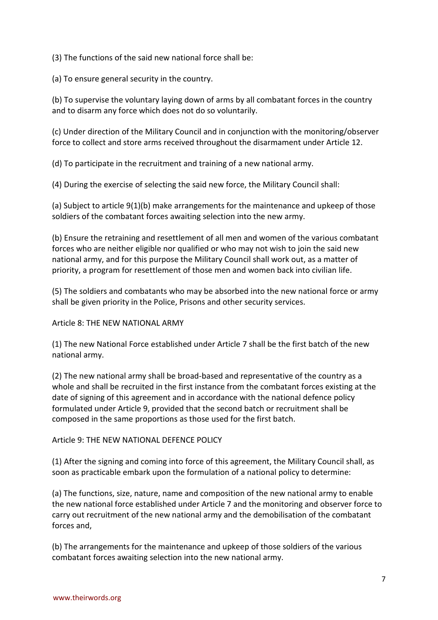(3) The functions of the said new national force shall be:

(a) To ensure general security in the country.

(b) To supervise the voluntary laying down of arms by all combatant forces in the country and to disarm any force which does not do so voluntarily.

(c) Under direction of the Military Council and in conjunction with the monitoring/observer force to collect and store arms received throughout the disarmament under Article 12.

(d) To participate in the recruitment and training of a new national army.

(4) During the exercise of selecting the said new force, the Military Council shall:

(a) Subject to article 9(1)(b) make arrangements for the maintenance and upkeep of those soldiers of the combatant forces awaiting selection into the new army.

(b) Ensure the retraining and resettlement of all men and women of the various combatant forces who are neither eligible nor qualified or who may not wish to join the said new national army, and for this purpose the Military Council shall work out, as a matter of priority, a program for resettlement of those men and women back into civilian life.

(5) The soldiers and combatants who may be absorbed into the new national force or army shall be given priority in the Police, Prisons and other security services.

Article 8: THE NEW NATIONAL ARMY

(1) The new National Force established under Article 7 shall be the first batch of the new national army.

(2) The new national army shall be broad-based and representative of the country as a whole and shall be recruited in the first instance from the combatant forces existing at the date of signing of this agreement and in accordance with the national defence policy formulated under Article 9, provided that the second batch or recruitment shall be composed in the same proportions as those used for the first batch.

Article 9: THE NEW NATIONAL DEFENCE POLICY

(1) After the signing and coming into force of this agreement, the Military Council shall, as soon as practicable embark upon the formulation of a national policy to determine:

(a) The functions, size, nature, name and composition of the new national army to enable the new national force established under Article 7 and the monitoring and observer force to carry out recruitment of the new national army and the demobilisation of the combatant forces and,

(b) The arrangements for the maintenance and upkeep of those soldiers of the various combatant forces awaiting selection into the new national army.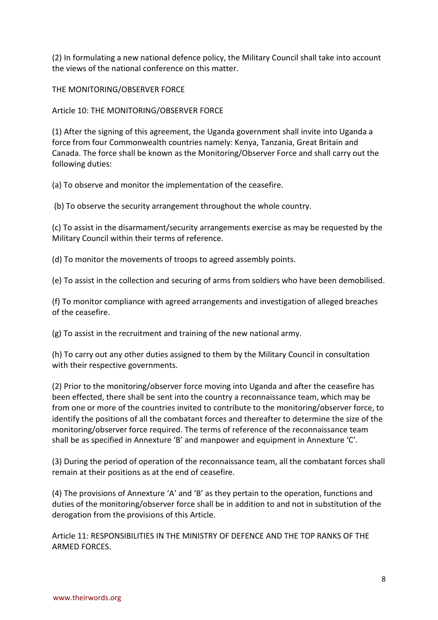(2) In formulating a new national defence policy, the Military Council shall take into account the views of the national conference on this matter.

THE MONITORING/OBSERVER FORCE

Article 10: THE MONITORING/OBSERVER FORCE

(1) After the signing of this agreement, the Uganda government shall invite into Uganda a force from four Commonwealth countries namely: Kenya, Tanzania, Great Britain and Canada. The force shall be known as the Monitoring/Observer Force and shall carry out the following duties:

(a) To observe and monitor the implementation of the ceasefire.

(b) To observe the security arrangement throughout the whole country.

(c) To assist in the disarmament/security arrangements exercise as may be requested by the Military Council within their terms of reference.

(d) To monitor the movements of troops to agreed assembly points.

(e) To assist in the collection and securing of arms from soldiers who have been demobilised.

(f) To monitor compliance with agreed arrangements and investigation of alleged breaches of the ceasefire.

(g) To assist in the recruitment and training of the new national army.

(h) To carry out any other duties assigned to them by the Military Council in consultation with their respective governments.

(2) Prior to the monitoring/observer force moving into Uganda and after the ceasefire has been effected, there shall be sent into the country a reconnaissance team, which may be from one or more of the countries invited to contribute to the monitoring/observer force, to identify the positions of all the combatant forces and thereafter to determine the size of the monitoring/observer force required. The terms of reference of the reconnaissance team shall be as specified in Annexture 'B' and manpower and equipment in Annexture 'C'.

(3) During the period of operation of the reconnaissance team, all the combatant forces shall remain at their positions as at the end of ceasefire.

(4) The provisions of Annexture 'A' and 'B' as they pertain to the operation, functions and duties of the monitoring/observer force shall be in addition to and not in substitution of the derogation from the provisions of this Article.

Article 11: RESPONSIBILITIES IN THE MINISTRY OF DEFENCE AND THE TOP RANKS OF THE ARMED FORCES.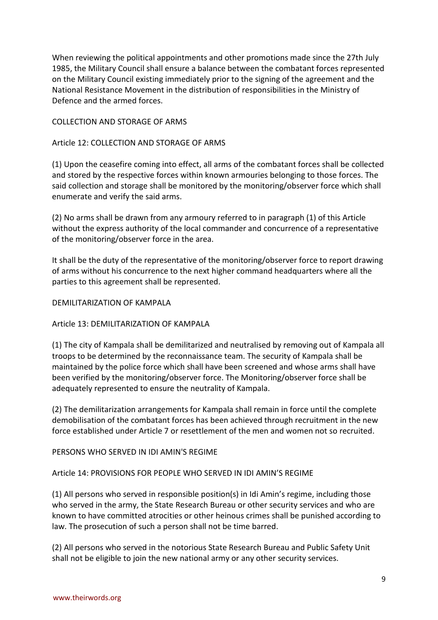When reviewing the political appointments and other promotions made since the 27th July 1985, the Military Council shall ensure a balance between the combatant forces represented on the Military Council existing immediately prior to the signing of the agreement and the National Resistance Movement in the distribution of responsibilities in the Ministry of Defence and the armed forces.

# COLLECTION AND STORAGE OF ARMS

# Article 12: COLLECTION AND STORAGE OF ARMS

(1) Upon the ceasefire coming into effect, all arms of the combatant forces shall be collected and stored by the respective forces within known armouries belonging to those forces. The said collection and storage shall be monitored by the monitoring/observer force which shall enumerate and verify the said arms.

(2) No arms shall be drawn from any armoury referred to in paragraph (1) of this Article without the express authority of the local commander and concurrence of a representative of the monitoring/observer force in the area.

It shall be the duty of the representative of the monitoring/observer force to report drawing of arms without his concurrence to the next higher command headquarters where all the parties to this agreement shall be represented.

## DEMILITARIZATION OF KAMPALA

# Article 13: DEMILITARIZATION OF KAMPALA

(1) The city of Kampala shall be demilitarized and neutralised by removing out of Kampala all troops to be determined by the reconnaissance team. The security of Kampala shall be maintained by the police force which shall have been screened and whose arms shall have been verified by the monitoring/observer force. The Monitoring/observer force shall be adequately represented to ensure the neutrality of Kampala.

(2) The demilitarization arrangements for Kampala shall remain in force until the complete demobilisation of the combatant forces has been achieved through recruitment in the new force established under Article 7 or resettlement of the men and women not so recruited.

## PERSONS WHO SERVED IN IDI AMIN'S REGIME

# Article 14: PROVISIONS FOR PEOPLE WHO SERVED IN IDI AMIN'S REGIME

(1) All persons who served in responsible position(s) in Idi Amin's regime, including those who served in the army, the State Research Bureau or other security services and who are known to have committed atrocities or other heinous crimes shall be punished according to law. The prosecution of such a person shall not be time barred.

(2) All persons who served in the notorious State Research Bureau and Public Safety Unit shall not be eligible to join the new national army or any other security services.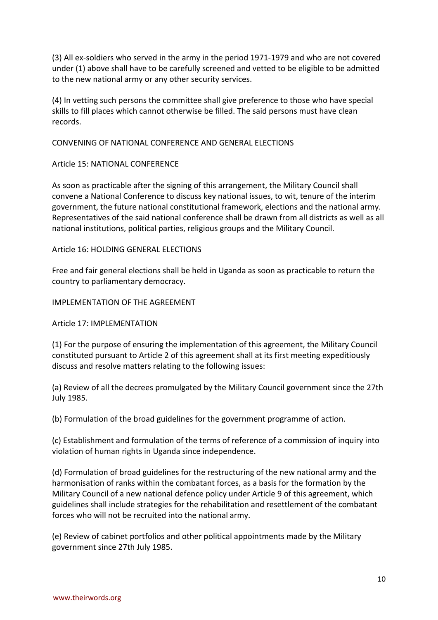(3) All ex-soldiers who served in the army in the period 1971-1979 and who are not covered under (1) above shall have to be carefully screened and vetted to be eligible to be admitted to the new national army or any other security services.

(4) In vetting such persons the committee shall give preference to those who have special skills to fill places which cannot otherwise be filled. The said persons must have clean records.

## CONVENING OF NATIONAL CONFERENCE AND GENERAL ELECTIONS

# Article 15: NATIONAL CONFERENCE

As soon as practicable after the signing of this arrangement, the Military Council shall convene a National Conference to discuss key national issues, to wit, tenure of the interim government, the future national constitutional framework, elections and the national army. Representatives of the said national conference shall be drawn from all districts as well as all national institutions, political parties, religious groups and the Military Council.

# Article 16: HOLDING GENERAL ELECTIONS

Free and fair general elections shall be held in Uganda as soon as practicable to return the country to parliamentary democracy.

# IMPLEMENTATION OF THE AGREEMENT

Article 17: IMPLEMENTATION

(1) For the purpose of ensuring the implementation of this agreement, the Military Council constituted pursuant to Article 2 of this agreement shall at its first meeting expeditiously discuss and resolve matters relating to the following issues:

(a) Review of all the decrees promulgated by the Military Council government since the 27th July 1985.

(b) Formulation of the broad guidelines for the government programme of action.

(c) Establishment and formulation of the terms of reference of a commission of inquiry into violation of human rights in Uganda since independence.

(d) Formulation of broad guidelines for the restructuring of the new national army and the harmonisation of ranks within the combatant forces, as a basis for the formation by the Military Council of a new national defence policy under Article 9 of this agreement, which guidelines shall include strategies for the rehabilitation and resettlement of the combatant forces who will not be recruited into the national army.

(e) Review of cabinet portfolios and other political appointments made by the Military government since 27th July 1985.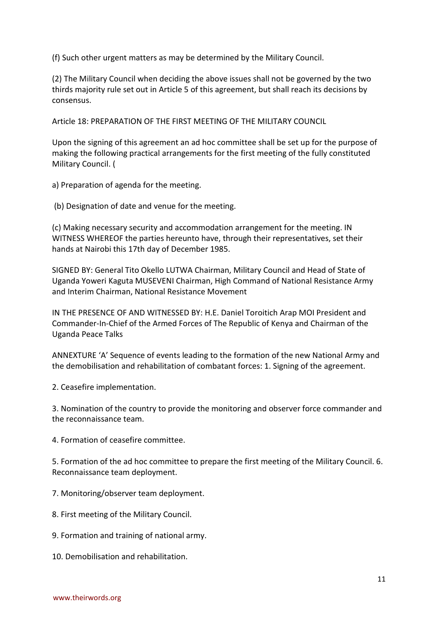(f) Such other urgent matters as may be determined by the Military Council.

(2) The Military Council when deciding the above issues shall not be governed by the two thirds majority rule set out in Article 5 of this agreement, but shall reach its decisions by consensus.

Article 18: PREPARATION OF THE FIRST MEETING OF THE MILITARY COUNCIL

Upon the signing of this agreement an ad hoc committee shall be set up for the purpose of making the following practical arrangements for the first meeting of the fully constituted Military Council. (

a) Preparation of agenda for the meeting.

(b) Designation of date and venue for the meeting.

(c) Making necessary security and accommodation arrangement for the meeting. IN WITNESS WHEREOF the parties hereunto have, through their representatives, set their hands at Nairobi this 17th day of December 1985.

SIGNED BY: General Tito Okello LUTWA Chairman, Military Council and Head of State of Uganda Yoweri Kaguta MUSEVENI Chairman, High Command of National Resistance Army and Interim Chairman, National Resistance Movement

IN THE PRESENCE OF AND WITNESSED BY: H.E. Daniel Toroitich Arap MOI President and Commander-In-Chief of the Armed Forces of The Republic of Kenya and Chairman of the Uganda Peace Talks

ANNEXTURE 'A' Sequence of events leading to the formation of the new National Army and the demobilisation and rehabilitation of combatant forces: 1. Signing of the agreement.

2. Ceasefire implementation.

3. Nomination of the country to provide the monitoring and observer force commander and the reconnaissance team.

4. Formation of ceasefire committee.

5. Formation of the ad hoc committee to prepare the first meeting of the Military Council. 6. Reconnaissance team deployment.

7. Monitoring/observer team deployment.

- 8. First meeting of the Military Council.
- 9. Formation and training of national army.
- 10. Demobilisation and rehabilitation.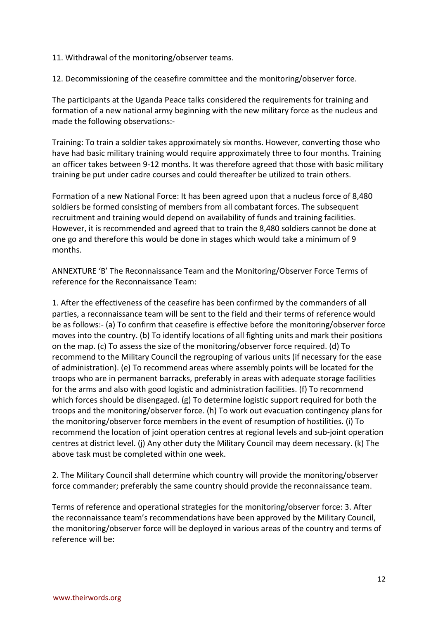11. Withdrawal of the monitoring/observer teams.

12. Decommissioning of the ceasefire committee and the monitoring/observer force.

The participants at the Uganda Peace talks considered the requirements for training and formation of a new national army beginning with the new military force as the nucleus and made the following observations:-

Training: To train a soldier takes approximately six months. However, converting those who have had basic military training would require approximately three to four months. Training an officer takes between 9-12 months. It was therefore agreed that those with basic military training be put under cadre courses and could thereafter be utilized to train others.

Formation of a new National Force: It has been agreed upon that a nucleus force of 8,480 soldiers be formed consisting of members from all combatant forces. The subsequent recruitment and training would depend on availability of funds and training facilities. However, it is recommended and agreed that to train the 8,480 soldiers cannot be done at one go and therefore this would be done in stages which would take a minimum of 9 months.

ANNEXTURE 'B' The Reconnaissance Team and the Monitoring/Observer Force Terms of reference for the Reconnaissance Team:

1. After the effectiveness of the ceasefire has been confirmed by the commanders of all parties, a reconnaissance team will be sent to the field and their terms of reference would be as follows:- (a) To confirm that ceasefire is effective before the monitoring/observer force moves into the country. (b) To identify locations of all fighting units and mark their positions on the map. (c) To assess the size of the monitoring/observer force required. (d) To recommend to the Military Council the regrouping of various units (if necessary for the ease of administration). (e) To recommend areas where assembly points will be located for the troops who are in permanent barracks, preferably in areas with adequate storage facilities for the arms and also with good logistic and administration facilities. (f) To recommend which forces should be disengaged. (g) To determine logistic support required for both the troops and the monitoring/observer force. (h) To work out evacuation contingency plans for the monitoring/observer force members in the event of resumption of hostilities. (i) To recommend the location of joint operation centres at regional levels and sub-joint operation centres at district level. (j) Any other duty the Military Council may deem necessary. (k) The above task must be completed within one week.

2. The Military Council shall determine which country will provide the monitoring/observer force commander; preferably the same country should provide the reconnaissance team.

Terms of reference and operational strategies for the monitoring/observer force: 3. After the reconnaissance team's recommendations have been approved by the Military Council, the monitoring/observer force will be deployed in various areas of the country and terms of reference will be: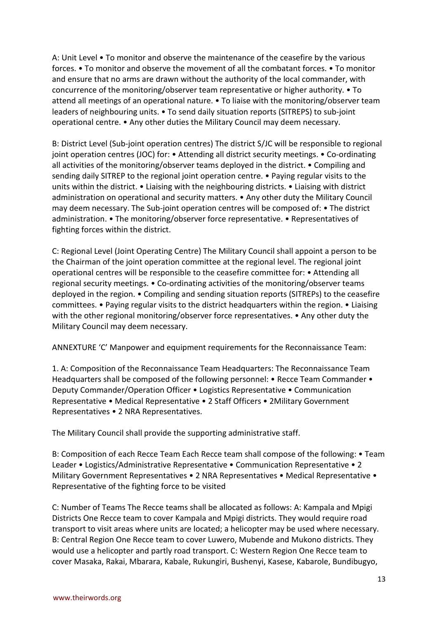A: Unit Level • To monitor and observe the maintenance of the ceasefire by the various forces. • To monitor and observe the movement of all the combatant forces. • To monitor and ensure that no arms are drawn without the authority of the local commander, with concurrence of the monitoring/observer team representative or higher authority. • To attend all meetings of an operational nature. • To liaise with the monitoring/observer team leaders of neighbouring units. • To send daily situation reports (SITREPS) to sub-joint operational centre. • Any other duties the Military Council may deem necessary.

B: District Level (Sub-joint operation centres) The district S/JC will be responsible to regional joint operation centres (JOC) for: • Attending all district security meetings. • Co-ordinating all activities of the monitoring/observer teams deployed in the district. • Compiling and sending daily SITREP to the regional joint operation centre. • Paying regular visits to the units within the district. • Liaising with the neighbouring districts. • Liaising with district administration on operational and security matters. • Any other duty the Military Council may deem necessary. The Sub-joint operation centres will be composed of: • The district administration. • The monitoring/observer force representative. • Representatives of fighting forces within the district.

C: Regional Level (Joint Operating Centre) The Military Council shall appoint a person to be the Chairman of the joint operation committee at the regional level. The regional joint operational centres will be responsible to the ceasefire committee for: • Attending all regional security meetings. • Co-ordinating activities of the monitoring/observer teams deployed in the region. • Compiling and sending situation reports (SITREPs) to the ceasefire committees. • Paying regular visits to the district headquarters within the region. • Liaising with the other regional monitoring/observer force representatives. • Any other duty the Military Council may deem necessary.

ANNEXTURE 'C' Manpower and equipment requirements for the Reconnaissance Team:

1. A: Composition of the Reconnaissance Team Headquarters: The Reconnaissance Team Headquarters shall be composed of the following personnel: • Recce Team Commander • Deputy Commander/Operation Officer • Logistics Representative • Communication Representative • Medical Representative • 2 Staff Officers • 2Military Government Representatives • 2 NRA Representatives.

The Military Council shall provide the supporting administrative staff.

B: Composition of each Recce Team Each Recce team shall compose of the following: • Team Leader • Logistics/Administrative Representative • Communication Representative • 2 Military Government Representatives • 2 NRA Representatives • Medical Representative • Representative of the fighting force to be visited

C: Number of Teams The Recce teams shall be allocated as follows: A: Kampala and Mpigi Districts One Recce team to cover Kampala and Mpigi districts. They would require road transport to visit areas where units are located; a helicopter may be used where necessary. B: Central Region One Recce team to cover Luwero, Mubende and Mukono districts. They would use a helicopter and partly road transport. C: Western Region One Recce team to cover Masaka, Rakai, Mbarara, Kabale, Rukungiri, Bushenyi, Kasese, Kabarole, Bundibugyo,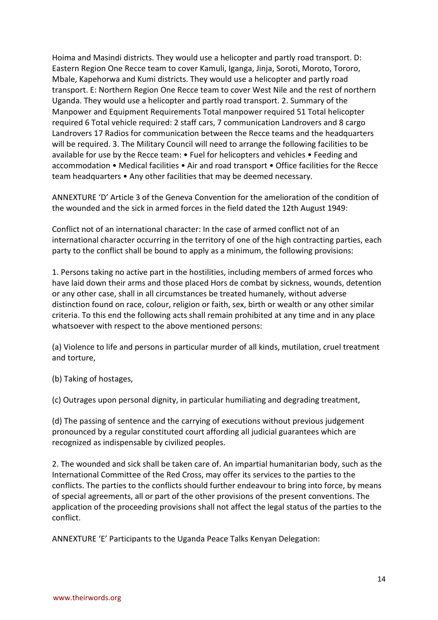Hoima and Masindi districts. They would use a helicopter and partly road transport. D: Eastern Region One Recce team to cover Kamuli, Iganga, Jinja, Soroti, Moroto, Tororo, Mbale, Kapehorwa and Kumi districts. They would use a helicopter and partly road transport. E: Northern Region One Recce team to cover West Nile and the rest of northern Uganda. They would use a helicopter and partly road transport. 2. Summary of the Manpower and Equipment Requirements Total manpower required 51 Total helicopter required 6 Total vehicle required: 2 staff cars, 7 communication Landrovers and 8 cargo Landrovers 17 Radios for communication between the Recce teams and the headquarters will be required. 3. The Military Council will need to arrange the following facilities to be available for use by the Recce team: • Fuel for helicopters and vehicles • Feeding and accommodation • Medical facilities • Air and road transport • Office facilities for the Recce team headquarters • Any other facilities that may be deemed necessary.

ANNEXTURE 'D' Article 3 of the Geneva Convention for the amelioration of the condition of the wounded and the sick in armed forces in the field dated the 12th August 1949:

Conflict not of an international character: In the case of armed conflict not of an international character occurring in the territory of one of the high contracting parties, each party to the conflict shall be bound to apply as a minimum, the following provisions:

1. Persons taking no active part in the hostilities, including members of armed forces who have laid down their arms and those placed Hors de combat by sickness, wounds, detention or any other case, shall in all circumstances be treated humanely, without adverse distinction found on race, colour, religion or faith, sex, birth or wealth or any other similar criteria. To this end the following acts shall remain prohibited at any time and in any place whatsoever with respect to the above mentioned persons:

(a) Violence to life and persons in particular murder of all kinds, mutilation, cruel treatment and torture,

(b) Taking of hostages,

(c) Outrages upon personal dignity, in particular humiliating and degrading treatment,

(d) The passing of sentence and the carrying of executions without previous judgement pronounced by a regular constituted court affording all judicial guarantees which are recognized as indispensable by civilized peoples.

2. The wounded and sick shall be taken care of. An impartial humanitarian body, such as the International Committee of the Red Cross, may offer its services to the parties to the conflicts. The parties to the conflicts should further endeavour to bring into force, by means of special agreements, all or part of the other provisions of the present conventions. The application of the proceeding provisions shall not affect the legal status of the parties to the conflict.

ANNEXTURE 'E' Participants to the Uganda Peace Talks Kenyan Delegation: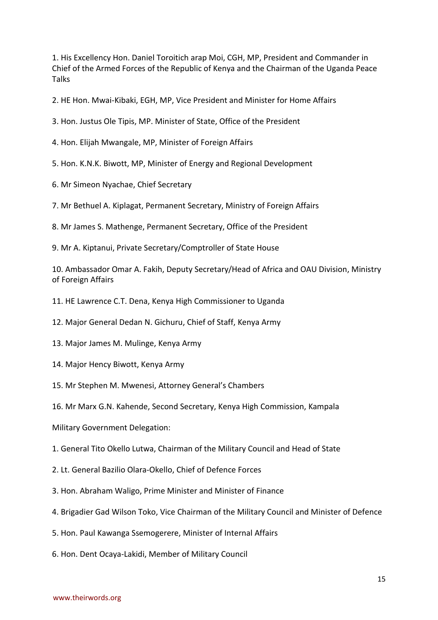1. His Excellency Hon. Daniel Toroitich arap Moi, CGH, MP, President and Commander in Chief of the Armed Forces of the Republic of Kenya and the Chairman of the Uganda Peace Talks

2. HE Hon. Mwai-Kibaki, EGH, MP, Vice President and Minister for Home Affairs

3. Hon. Justus Ole Tipis, MP. Minister of State, Office of the President

4. Hon. Elijah Mwangale, MP, Minister of Foreign Affairs

5. Hon. K.N.K. Biwott, MP, Minister of Energy and Regional Development

6. Mr Simeon Nyachae, Chief Secretary

7. Mr Bethuel A. Kiplagat, Permanent Secretary, Ministry of Foreign Affairs

8. Mr James S. Mathenge, Permanent Secretary, Office of the President

9. Mr A. Kiptanui, Private Secretary/Comptroller of State House

10. Ambassador Omar A. Fakih, Deputy Secretary/Head of Africa and OAU Division, Ministry of Foreign Affairs

11. HE Lawrence C.T. Dena, Kenya High Commissioner to Uganda

12. Major General Dedan N. Gichuru, Chief of Staff, Kenya Army

- 13. Major James M. Mulinge, Kenya Army
- 14. Major Hency Biwott, Kenya Army
- 15. Mr Stephen M. Mwenesi, Attorney General's Chambers
- 16. Mr Marx G.N. Kahende, Second Secretary, Kenya High Commission, Kampala

Military Government Delegation:

1. General Tito Okello Lutwa, Chairman of the Military Council and Head of State

- 2. Lt. General Bazilio Olara-Okello, Chief of Defence Forces
- 3. Hon. Abraham Waligo, Prime Minister and Minister of Finance
- 4. Brigadier Gad Wilson Toko, Vice Chairman of the Military Council and Minister of Defence
- 5. Hon. Paul Kawanga Ssemogerere, Minister of Internal Affairs
- 6. Hon. Dent Ocaya-Lakidi, Member of Military Council